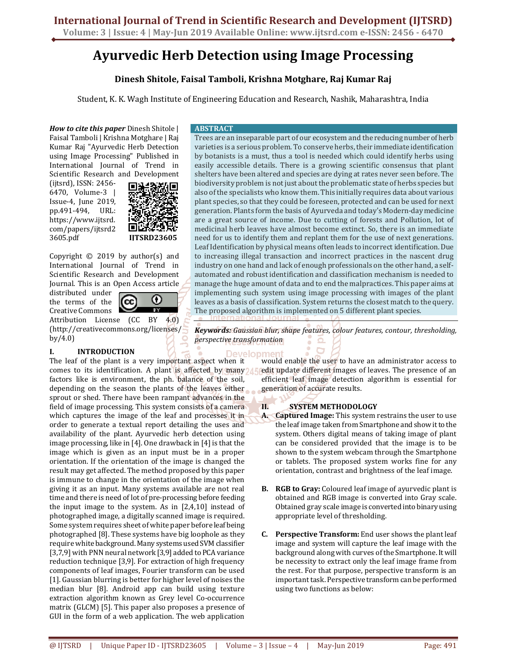# **Ayurvedic Herb Detection using Image Processing**

## **Dinesh Shitole, Faisal Tamboli, Krishna Motghare, Raj Kumar Raj**

Student, K. K. Wagh Institute of Engineering Education and Research, Nashik, Maharashtra, India

*How to cite this paper* Dinesh Shitole | Faisal Tamboli | Krishna Motghare | Raj Kumar Raj "Ayurvedic Herb Detection using Image Processing" Published in International Journal of Trend in Scientific Research and Development

(ijtsrd), ISSN: 2456- 6470, Volume-3 | Issue-4, June 2019, pp.491-494, URL: https://www.ijtsrd. com/papers/ijtsrd2 3605.pdf



Copyright  $©$  2019 by author(s) and International Journal of Trend in Scientific Research and Development Journal. This is an Open Access article

distributed under the terms of the Creative Commons



Attribution License (CC BY 4.0) (http://creativecommons.org/licenses/ by/4.0)

## **I. INTRODUCTION**

The leaf of the plant is a very important aspect when it comes to its identification. A plant is affected by many  $\sqrt{4}$ . factors like is environment, the ph. balance of the soil, depending on the season the plants of the leaves either sprout or shed. There have been rampant advances in the field of image processing. This system consists of a camera which captures the image of the leaf and processes it in order to generate a textual report detailing the uses and availability of the plant. Ayurvedic herb detection using image processing, like in [4]. One drawback in [4] is that the image which is given as an input must be in a proper orientation. If the orientation of the image is changed the result may get affected. The method proposed by this paper is immune to change in the orientation of the image when giving it as an input. Many systems available are not real time and there is need of lot of pre-processing before feeding the input image to the system. As in [2,4,10] instead of photographed image, a digitally scanned image is required. Some system requires sheet of white paper before leaf being photographed [8]. These systems have big loophole as they require white background. Many systems used SVM classifier [3,7,9] with PNN neural network [3,9] added to PCA variance reduction technique [3,9]. For extraction of high frequency components of leaf images, Fourier transform can be used [1]. Gaussian blurring is better for higher level of noises the median blur [8]. Android app can build using texture extraction algorithm known as Grey level Co-occurrence matrix (GLCM) [5]. This paper also proposes a presence of GUI in the form of a web application. The web application

#### **ABSTRACT**

Trees are an inseparable part of our ecosystem and the reducing number of herb varieties is a serious problem. To conserve herbs, their immediate identification by botanists is a must, thus a tool is needed which could identify herbs using easily accessible details. There is a growing scientific consensus that plant shelters have been altered and species are dying at rates never seen before. The biodiversity problem is not just about the problematic state of herbs species but also of the specialists who know them. This initially requires data about various plant species, so that they could be foreseen, protected and can be used for next generation. Plants form the basis of Ayurveda and today's Modern-day medicine are a great source of income. Due to cutting of forests and Pollution, lot of medicinal herb leaves have almost become extinct. So, there is an immediate need for us to identify them and replant them for the use of next generations. Leaf Identification by physical means often leads to incorrect identification. Due to increasing illegal transaction and incorrect practices in the nascent drug industry on one hand and lack of enough professionals on the other hand, a selfautomated and robust identification and classification mechanism is needed to manage the huge amount of data and to end the malpractices. This paper aims at implementing such system using image processing with images of the plant leaves as a basis of classification. System returns the closest match to the query. The proposed algorithm is implemented on 5 different plant species.

*Keywords: Gaussian blur, shape features, colour features, contour, thresholding, perspective transformation* 

> Development would enable the user to have an administrator access to edit update different images of leaves. The presence of an efficient leaf image detection algorithm is essential for generation of accurate results.

## **II. SYSTEM METHODOLOGY**

- **A. Captured Image:** This system restrains the user to use the leaf image taken from Smartphone and show it to the system. Others digital means of taking image of plant can be considered provided that the image is to be shown to the system webcam through the Smartphone or tablets. The proposed system works fine for any orientation, contrast and brightness of the leaf image.
- **B. RGB to Gray:** Coloured leaf image of ayurvedic plant is obtained and RGB image is converted into Gray scale. Obtained gray scale image is converted into binary using appropriate level of thresholding.
- **C. Perspective Transform:** End user shows the plant leaf image and system will capture the leaf image with the background along with curves of the Smartphone. It will be necessity to extract only the leaf image frame from the rest. For that purpose, perspective transform is an important task. Perspective transform can be performed using two functions as below: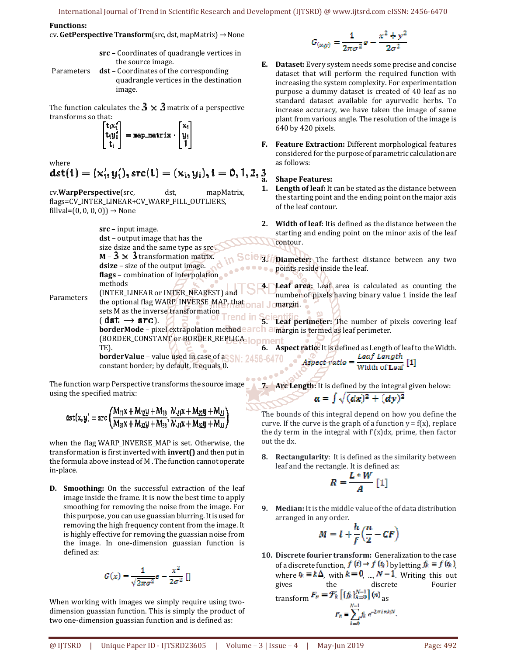#### **Functions:**

cv. **GetPerspective Transform**(src, dst, mapMatrix) → None

**src –** Coordinates of quadrangle vertices in the source image.

Parameters **dst –** Coordinates of the corresponding quadrangle vertices in the destination image.

The function calculates the  $3 \times 3$  matrix of a perspective transforms so that:

$$
\begin{bmatrix} t_i x_i' \\ t_i y_i' \\ t_i \end{bmatrix} = \text{map\_matrix} \cdot \begin{bmatrix} x_i \\ y_i \\ 1 \end{bmatrix}
$$

where

$$
dst(i) = (x'_i, y'_i), src(i) = (x_i, y_i), i = 0, 1, 2, \frac{3}{4}
$$

cv.**WarpPerspective**(src, dst, mapMatrix, flags=CV\_INTER\_LINEAR+CV\_WARP\_FILL\_OUTLIERS, fillval= $(0, 0, 0, 0)$ )  $\rightarrow$  None

> **src** – input image. **dst** – output image that has the size dsize and the same type as src.  $M - 3 \times 3$  transformation matrix. **dsize** – size of the output image. **flags** – combination of interpolation methods (INTER\_LINEAR or INTER\_NEAREST) and the optional flag WARP\_INVERSE\_MAP, that

$$
Parameters \\
$$

$$
G_{(x,y)} = \frac{1}{2\pi\pi^2}e - \frac{x^2 + y^2}{2\pi^2}
$$

- **E. Dataset:** Every system needs some precise and concise dataset that will perform the required function with increasing the system complexity. For experimentation purpose a dummy dataset is created of 40 leaf as no standard dataset available for ayurvedic herbs. To increase accuracy, we have taken the image of same plant from various angle. The resolution of the image is 640 by 420 pixels.
- **F. Feature Extraction:** Different morphological features considered for the purpose of parametric calculation are as follows:

## **a. Shape Features:**

- **1. Length of leaf:** It can be stated as the distance between the starting point and the ending point on the major axis of the leaf contour.
- **2. Width of leaf:** Itis defined as the distance between the starting and ending point on the minor axis of the leaf contour.

**SCIE 3.1 Diameter:** The farthest distance between any two **Policia** points reside inside the leaf.

> **4. Leaf area:** Leaf area is calculated as counting the number of pixels having binary value 1 inside the leaf J<sub>omargin.</sub>

sets M as the inverse transformation rend **Leaf perimeter:** The number of pixels covering leaf ( dst  $\rightarrow$  src ). **borderMode** – pixel extrapolation methode a ch almargin is termed as leaf perimeter. (BORDER\_CONSTANT or BORDER\_REPLICA\_lopment TE).

**borderValue** – value used in case of a SN: 2456-64 constant border; by default, it equals 0.

The function warp Perspective transforms the source image using the specified matrix:

$$
dst(x,y) = src \left( \frac{M_{11}x + M_{12}y + M_{13}}{M_{31}x + M_{32}y + M_{33}}, \frac{M_{21}x + M_{22}y + M_{23}}{M_{31}x + M_{32}y + M_{33}} \right)
$$

when the flag WARP\_INVERSE\_MAP is set. Otherwise, the transformation is first inverted with **invert()** and then put in the formula above instead of M . The function cannot operate in-place.

**D. Smoothing:** On the successful extraction of the leaf image inside the frame. It is now the best time to apply smoothing for removing the noise from the image. For this purpose, you can use guassian blurring. It is used for removing the high frequency content from the image. It is highly effective for removing the guassian noise from the image. In one-dimension guassian function is defined as:

$$
G(x) = \frac{1}{\sqrt{2\pi\sigma^2}}e - \frac{x^2}{2\sigma^2} \left[ \right]
$$

When working with images we simply require using twodimension guassian function. This is simply the product of two one-dimension guassian function and is defined as:

6. Aspect ratio: It is defined as Length of leaf to the Width.  
\n
$$
-6470 \text{ Aspect ratio} = \frac{Leaf Length}{Width of Local} [1]
$$

 $\cdots$ **7. Arc Length:** It is defined by the integral given below:  $a = \int \sqrt{dx^2 + (dy^2)}$ 

The bounds of this integral depend on how you define the curve. If the curve is the graph of a function  $y = f(x)$ , replace the dy term in the integral with  $f'(x)dx$ , prime, then factor out the dx.

**8. Rectangularity**: It is defined as the similarity between leaf and the rectangle. It is defined as:

$$
R=\frac{L*W}{A}\left[1\right]
$$

**9. Median:** It is the middle value of the of data distribution arranged in any order.

$$
M = l + \frac{h}{f} \left( \frac{n}{2} - CF \right)
$$

j

**10. Discrete fourier transform:** Generalization to the case of a discrete function,  $f(\mathbf{t}) \to f(\mathbf{t}_k)$  by letting  $f_k \equiv f(\mathbf{t}_k)$ , where  $k = k\Delta$ , with  $k = 0$ , ...,  $N-1$ . Writing this out gives the discrete Fourier gives the discrete Fourier

$$
\begin{aligned} \text{transform } \mathbf{r}_n &= \mathbf{y}_k \left[ \mathbf{1}/k \mathbf{1}k \pm 0 \right] \mathbf{v} \mathbf{y}_k\\ F_n &= \sum_{k=0}^{N-1} f_k \ e^{-2 \pi i n k/N} .\end{aligned}
$$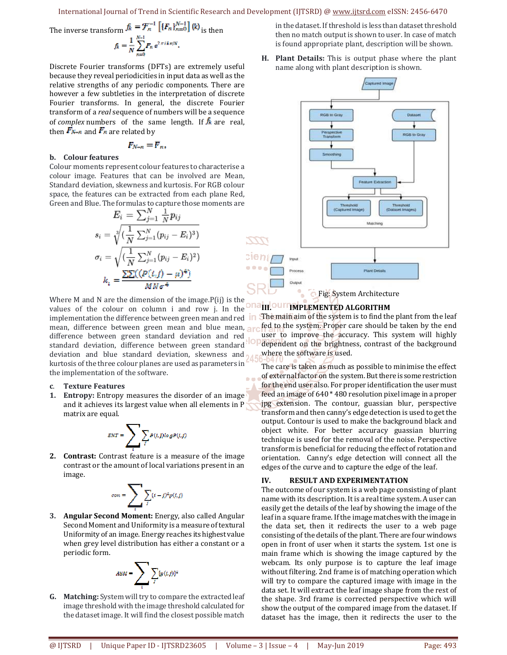International Journal of Trend in Scientific Research and Development (IJTSRD) @ www.ijtsrd.com eISSN: 2456-6470

The inverse transform 
$$
f_k = \mathcal{F}_n^{-1} \left[ \{F_n\}_{n=0}^{N-1} \right] (k)
$$
 is then  

$$
\hat{n} = \frac{1}{N} \sum_{n=0}^{N-1} F_n e^{2\pi i k n/N}.
$$

Discrete Fourier transforms (DFTs) are extremely useful because they reveal periodicities in input data as well as the relative strengths of any periodic components. There are however a few subtleties in the interpretation of discrete Fourier transforms. In general, the discrete Fourier transform of a *real* sequence of numbers will be a sequence of *complex* numbers of the same length. If  $\hbar$  are real, then  $F_{N-n}$  and  $F_n$  are related by

se an

$$
F_{N-n}=\overline{F}_n.
$$

#### **b. Colour features**

Colour moments represent colour features to characterise a colour image. Features that can be involved are Mean, Standard deviation, skewness and kurtosis. For RGB colour space, the features can be extracted from each plane Red, Green and Blue. The formulas to capture those moments are

$$
E_i = \sum_{j=1}^{N} \frac{1}{N} p_{ij}
$$
  

$$
s_i = \sqrt[3]{(\frac{1}{N} \sum_{j=1}^{N} (p_{ij} - E_i)^3)}
$$
  

$$
\sigma_i = \sqrt{(\frac{1}{N} \sum_{j=1}^{N} (p_{ij} - E_i)^2)}
$$
  

$$
k_i = \frac{\sum \sum (P(i,j) - \mu)^4}{MN\sigma^4}
$$

Where M and N are the dimension of the image.P(ij) is the values of the colour on column i and row j. In the implementation the difference between green mean and red mean, difference between green mean and blue mean, are difference between green standard deviation and red standard deviation, difference between green standard deviation and blue standard deviation, skewness and kurtosis of the three colour planes are used as parameters in the implementation of the software.

#### **c**. **Texture Features**

**1. Entropy:** Entropy measures the disorder of an image and it achieves its largest value when all elements in P matrix are equal.

$$
SNT = \sum_{i} \sum_{j} P(i, j) \log P(i, j)
$$

**2. Contrast:** Contrast feature is a measure of the image contrast or the amount of local variations present in an image.

$$
con = \sum_i \sum_j (t-j)^2 p(t,j)
$$

**3. Angular Second Moment:** Energy, also called Angular Second Moment and Uniformity is a measure of textural Uniformity of an image. Energy reaches its highest value when grey level distribution has either a constant or a periodic form.



**G. Matching:** System will try to compare the extracted leaf image threshold with the image threshold calculated for the dataset image. It will find the closest possible match

in the dataset. If threshold is less than dataset threshold then no match output is shown to user. In case of match is found appropriate plant, description will be shown.

**H. Plant Details:** This is output phase where the plant name along with plant description is shown.



Fig: System Architecture

## **III. IMPLEMENTED ALGORITHM**

in The main aim of the system is to find the plant from the leaf fed to the system. Proper care should be taken by the end user to improve the accuracy. This system will highly dependent on the brightness, contrast of the background where the software is used.

The care is taken as much as possible to minimise the effect of external factor on the system. But there is some restriction for the end user also. For proper identification the user must feed an image of 640 \* 480 resolution pixel image in a proper jpg extension. The contour, guassian blur, perspective transform and then canny's edge detection is used to get the output. Contour is used to make the background black and object white. For better accuracy guassian blurring technique is used for the removal of the noise. Perspective transform is beneficial for reducing the effect of rotation and orientation. Canny's edge detection will connect all the edges of the curve and to capture the edge of the leaf.

#### **IV. RESULT AND EXPERIMENTATION**

The outcome of our system is a web page consisting of plant name with its description. It is a real time system. A user can easily get the details of the leaf by showing the image of the leaf in a square frame. If the image matches with the image in the data set, then it redirects the user to a web page consisting of the details of the plant. There are four windows open in front of user when it starts the system. 1st one is main frame which is showing the image captured by the webcam. Its only purpose is to capture the leaf image without filtering. 2nd frame is of matching operation which will try to compare the captured image with image in the data set. It will extract the leaf image shape from the rest of the shape. 3rd frame is corrected perspective which will show the output of the compared image from the dataset. If dataset has the image, then it redirects the user to the